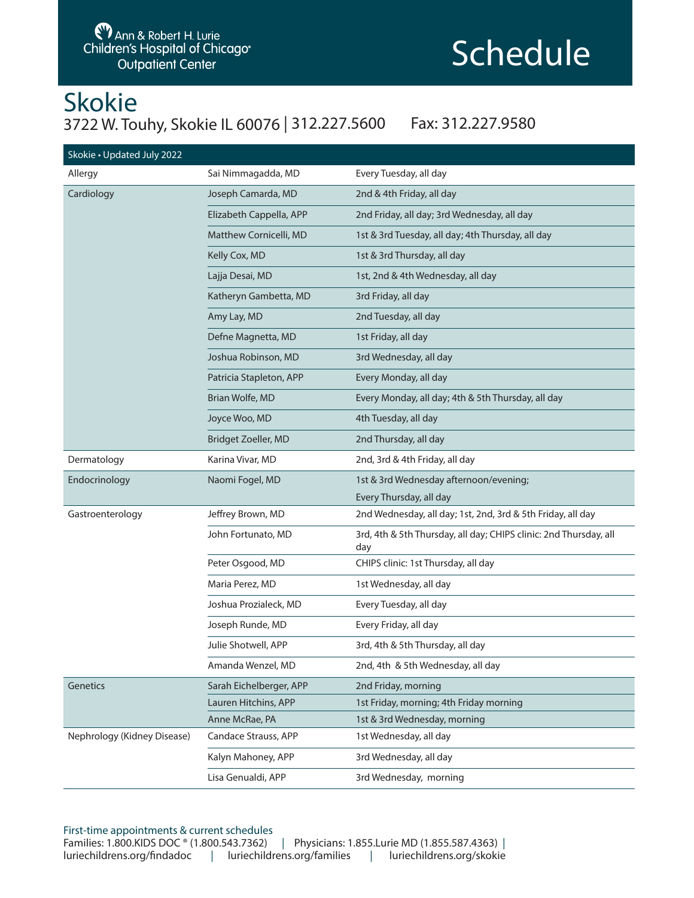## Schedule

### Skokie 3722 W. Touhy, Skokie IL 60076 | 312.227.5600 Fax: 312.227.9580

| Skokie · Updated July 2022  |                            |                                                                          |  |  |  |  |
|-----------------------------|----------------------------|--------------------------------------------------------------------------|--|--|--|--|
| Allergy                     | Sai Nimmagadda, MD         | Every Tuesday, all day                                                   |  |  |  |  |
| Cardiology                  | Joseph Camarda, MD         | 2nd & 4th Friday, all day                                                |  |  |  |  |
|                             | Elizabeth Cappella, APP    | 2nd Friday, all day; 3rd Wednesday, all day                              |  |  |  |  |
|                             | Matthew Cornicelli, MD     | 1st & 3rd Tuesday, all day; 4th Thursday, all day                        |  |  |  |  |
|                             | Kelly Cox, MD              | 1st & 3rd Thursday, all day                                              |  |  |  |  |
|                             | Lajja Desai, MD            | 1st, 2nd & 4th Wednesday, all day                                        |  |  |  |  |
|                             | Katheryn Gambetta, MD      | 3rd Friday, all day                                                      |  |  |  |  |
|                             | Amy Lay, MD                | 2nd Tuesday, all day                                                     |  |  |  |  |
|                             | Defne Magnetta, MD         | 1st Friday, all day                                                      |  |  |  |  |
|                             | Joshua Robinson, MD        | 3rd Wednesday, all day                                                   |  |  |  |  |
|                             | Patricia Stapleton, APP    | Every Monday, all day                                                    |  |  |  |  |
|                             | Brian Wolfe, MD            | Every Monday, all day; 4th & 5th Thursday, all day                       |  |  |  |  |
|                             | Joyce Woo, MD              | 4th Tuesday, all day                                                     |  |  |  |  |
|                             | <b>Bridget Zoeller, MD</b> | 2nd Thursday, all day                                                    |  |  |  |  |
| Dermatology                 | Karina Vivar, MD           | 2nd, 3rd & 4th Friday, all day                                           |  |  |  |  |
| Endocrinology               | Naomi Fogel, MD            | 1st & 3rd Wednesday afternoon/evening;                                   |  |  |  |  |
|                             |                            | Every Thursday, all day                                                  |  |  |  |  |
| Gastroenterology            | Jeffrey Brown, MD          | 2nd Wednesday, all day; 1st, 2nd, 3rd & 5th Friday, all day              |  |  |  |  |
|                             | John Fortunato, MD         | 3rd, 4th & 5th Thursday, all day; CHIPS clinic: 2nd Thursday, all<br>day |  |  |  |  |
|                             | Peter Osgood, MD           | CHIPS clinic: 1st Thursday, all day                                      |  |  |  |  |
|                             | Maria Perez, MD            | 1st Wednesday, all day                                                   |  |  |  |  |
|                             | Joshua Prozialeck, MD      | Every Tuesday, all day                                                   |  |  |  |  |
|                             | Joseph Runde, MD           | Every Friday, all day                                                    |  |  |  |  |
|                             | Julie Shotwell, APP        | 3rd, 4th & 5th Thursday, all day                                         |  |  |  |  |
|                             | Amanda Wenzel, MD          | 2nd, 4th & 5th Wednesday, all day                                        |  |  |  |  |
| Genetics                    | Sarah Eichelberger, APP    | 2nd Friday, morning                                                      |  |  |  |  |
|                             | Lauren Hitchins, APP       | 1st Friday, morning; 4th Friday morning                                  |  |  |  |  |
|                             | Anne McRae, PA             | 1st & 3rd Wednesday, morning                                             |  |  |  |  |
| Nephrology (Kidney Disease) | Candace Strauss, APP       | 1st Wednesday, all day                                                   |  |  |  |  |
|                             | Kalyn Mahoney, APP         | 3rd Wednesday, all day                                                   |  |  |  |  |
|                             | Lisa Genualdi, APP         | 3rd Wednesday, morning                                                   |  |  |  |  |

#### First-time appointments & current schedules Families: 1.800.KIDS DOC ® (1.800.543.7362) | Physicians: 1.855.Lurie MD (1.855.587.4363) | luriechildrens.org/findadoc | luriechildrens.org/families | luriechildrens.org/skokie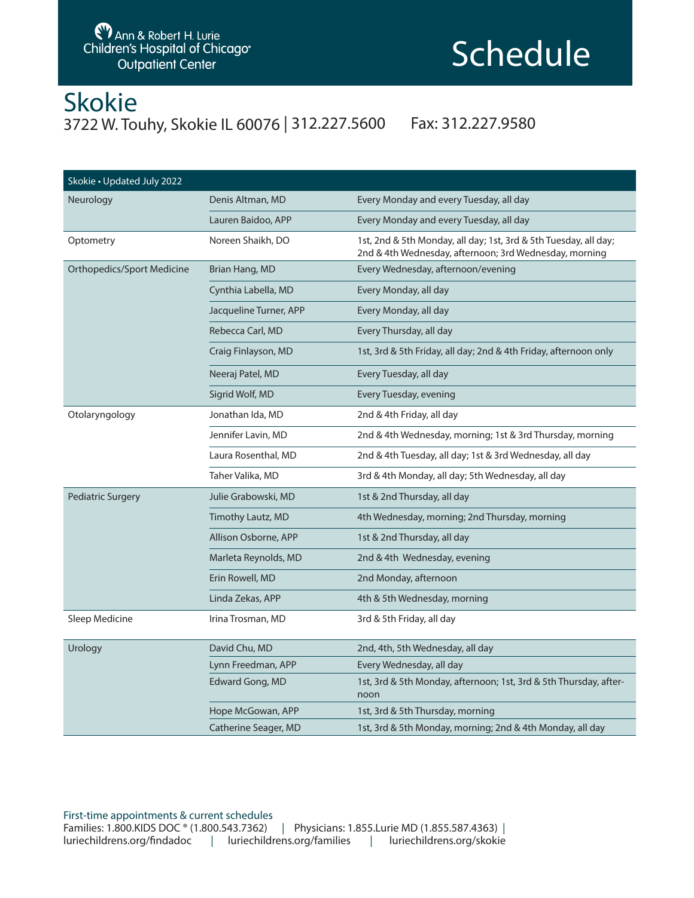## **Schedule**

### Skokie 3722 W. Touhy, Skokie IL 60076 | 312.227.5600 Fax: 312.227.9580

| Skokie • Updated July 2022        |                        |                                                                                                                            |  |  |  |
|-----------------------------------|------------------------|----------------------------------------------------------------------------------------------------------------------------|--|--|--|
| Neurology                         | Denis Altman, MD       | Every Monday and every Tuesday, all day                                                                                    |  |  |  |
|                                   | Lauren Baidoo, APP     | Every Monday and every Tuesday, all day                                                                                    |  |  |  |
| Optometry                         | Noreen Shaikh, DO      | 1st, 2nd & 5th Monday, all day; 1st, 3rd & 5th Tuesday, all day;<br>2nd & 4th Wednesday, afternoon; 3rd Wednesday, morning |  |  |  |
| <b>Orthopedics/Sport Medicine</b> | Brian Hang, MD         | Every Wednesday, afternoon/evening                                                                                         |  |  |  |
|                                   | Cynthia Labella, MD    | Every Monday, all day                                                                                                      |  |  |  |
|                                   | Jacqueline Turner, APP | Every Monday, all day                                                                                                      |  |  |  |
|                                   | Rebecca Carl, MD       | Every Thursday, all day                                                                                                    |  |  |  |
|                                   | Craig Finlayson, MD    | 1st, 3rd & 5th Friday, all day; 2nd & 4th Friday, afternoon only                                                           |  |  |  |
|                                   | Neeraj Patel, MD       | Every Tuesday, all day                                                                                                     |  |  |  |
|                                   | Sigrid Wolf, MD        | Every Tuesday, evening                                                                                                     |  |  |  |
| Otolaryngology                    | Jonathan Ida, MD       | 2nd & 4th Friday, all day                                                                                                  |  |  |  |
|                                   | Jennifer Lavin, MD     | 2nd & 4th Wednesday, morning; 1st & 3rd Thursday, morning                                                                  |  |  |  |
|                                   | Laura Rosenthal, MD    | 2nd & 4th Tuesday, all day; 1st & 3rd Wednesday, all day                                                                   |  |  |  |
|                                   | Taher Valika, MD       | 3rd & 4th Monday, all day; 5th Wednesday, all day                                                                          |  |  |  |
| <b>Pediatric Surgery</b>          | Julie Grabowski, MD    | 1st & 2nd Thursday, all day                                                                                                |  |  |  |
|                                   | Timothy Lautz, MD      | 4th Wednesday, morning; 2nd Thursday, morning                                                                              |  |  |  |
|                                   | Allison Osborne, APP   | 1st & 2nd Thursday, all day                                                                                                |  |  |  |
|                                   | Marleta Reynolds, MD   | 2nd & 4th Wednesday, evening                                                                                               |  |  |  |
|                                   | Erin Rowell, MD        | 2nd Monday, afternoon                                                                                                      |  |  |  |
|                                   | Linda Zekas, APP       | 4th & 5th Wednesday, morning                                                                                               |  |  |  |
| Sleep Medicine                    | Irina Trosman, MD      | 3rd & 5th Friday, all day                                                                                                  |  |  |  |
| Urology                           | David Chu, MD          | 2nd, 4th, 5th Wednesday, all day                                                                                           |  |  |  |
|                                   | Lynn Freedman, APP     | Every Wednesday, all day                                                                                                   |  |  |  |
|                                   | Edward Gong, MD        | 1st, 3rd & 5th Monday, afternoon; 1st, 3rd & 5th Thursday, after-<br>noon                                                  |  |  |  |
|                                   | Hope McGowan, APP      | 1st, 3rd & 5th Thursday, morning                                                                                           |  |  |  |
|                                   | Catherine Seager, MD   | 1st, 3rd & 5th Monday, morning; 2nd & 4th Monday, all day                                                                  |  |  |  |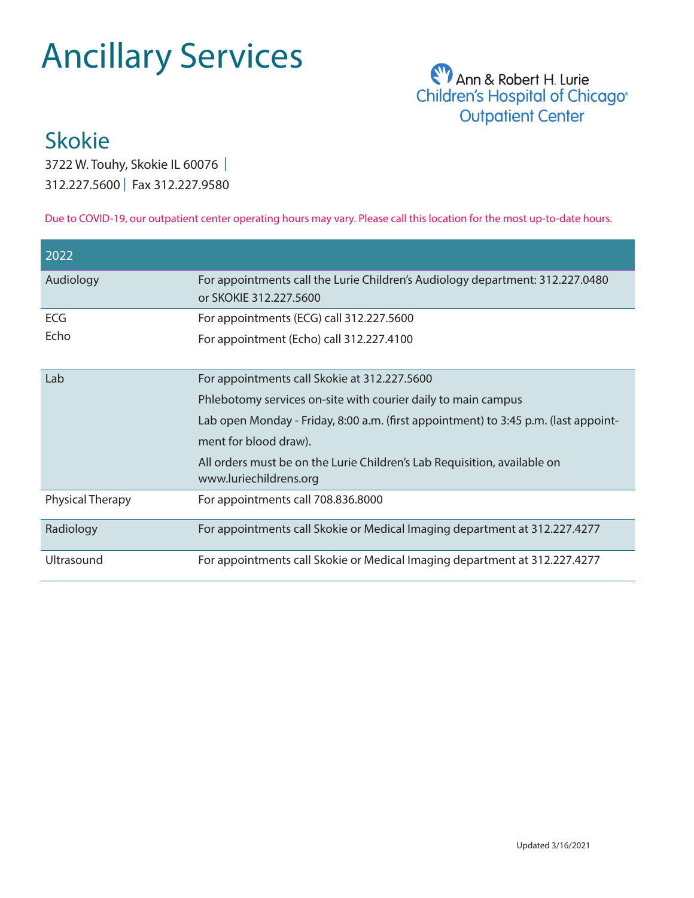# Ancillary Services



## Skokie

3722 W. Touhy, Skokie IL 60076 | 312.227.5600 | Fax 312.227.9580

Due to COVID-19, our outpatient center operating hours may vary. Please call this location for the most up-to-date hours.

| 2022                    |                                                                                                         |  |  |
|-------------------------|---------------------------------------------------------------------------------------------------------|--|--|
| Audiology               | For appointments call the Lurie Children's Audiology department: 312.227.0480<br>or SKOKIE 312.227.5600 |  |  |
| ECG                     | For appointments (ECG) call 312.227.5600                                                                |  |  |
| Echo                    | For appointment (Echo) call 312.227.4100                                                                |  |  |
| Lab                     | For appointments call Skokie at 312.227.5600                                                            |  |  |
|                         | Phlebotomy services on-site with courier daily to main campus                                           |  |  |
|                         | Lab open Monday - Friday, 8:00 a.m. (first appointment) to 3:45 p.m. (last appoint-                     |  |  |
|                         | ment for blood draw).                                                                                   |  |  |
|                         | All orders must be on the Lurie Children's Lab Requisition, available on<br>www.luriechildrens.org      |  |  |
| <b>Physical Therapy</b> | For appointments call 708.836.8000                                                                      |  |  |
| Radiology               | For appointments call Skokie or Medical Imaging department at 312.227.4277                              |  |  |
| Ultrasound              | For appointments call Skokie or Medical Imaging department at 312.227.4277                              |  |  |